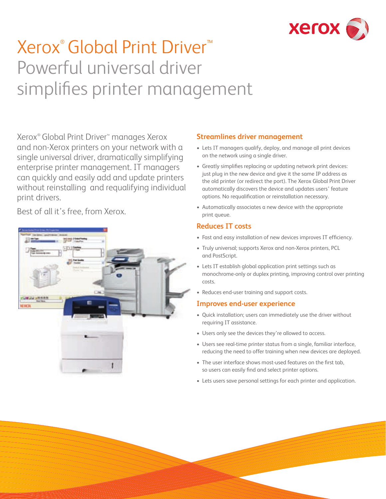

# Xerox® Global Print Driver™ Powerful universal driver simplifies printer management

Xerox® Global Print Driver™ manages Xerox and non-Xerox printers on your network with a single universal driver, dramatically simplifying enterprise printer management. IT managers can quickly and easily add and update printers without reinstalling and requalifying individual print drivers.

Best of all it's free, from Xerox.

## **Streamlines driver management**

- Lets IT managers qualify, deploy, and manage all print devices on the network using a single driver.
- Greatly simplifies replacing or updating network print devices: just plug in the new device and give it the same IP address as the old printer (or redirect the port). The Xerox Global Print Driver automatically discovers the device and updates users' feature options. No requalification or reinstallation necessary.
- Automatically associates a new device with the appropriate print queue.

#### **Reduces IT costs**

- Fast and easy installation of new devices improves IT efficiency.
- Truly universal; supports Xerox and non-Xerox printers, PCL and PostScript.
- Lets IT establish global application print settings such as monochrome-only or duplex printing, improving control over printing costs.
- Reduces end-user training and support costs.

#### **Improves end-user experience**

- Quick installation; users can immediately use the driver without requiring IT assistance.
- Users only see the devices they're allowed to access.
- Users see real-time printer status from a single, familiar interface, reducing the need to offer training when new devices are deployed.
- The user interface shows most-used features on the first tab, so users can easily find and select printer options.
- Lets users save personal settings for each printer and application.